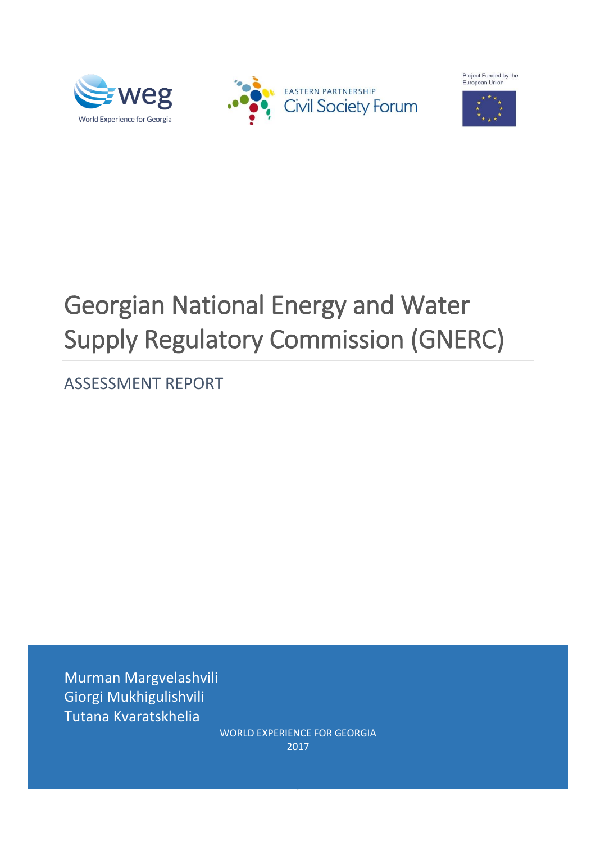







# Georgian National Energy and Water Supply Regulatory Commission (GNERC)

ASSESSMENT REPORT

Murman Margvelashvili Giorgi Mukhigulishvili Tutana Kvaratskhelia

WORLD EXPERIENCE FOR GEORGIA 2017

0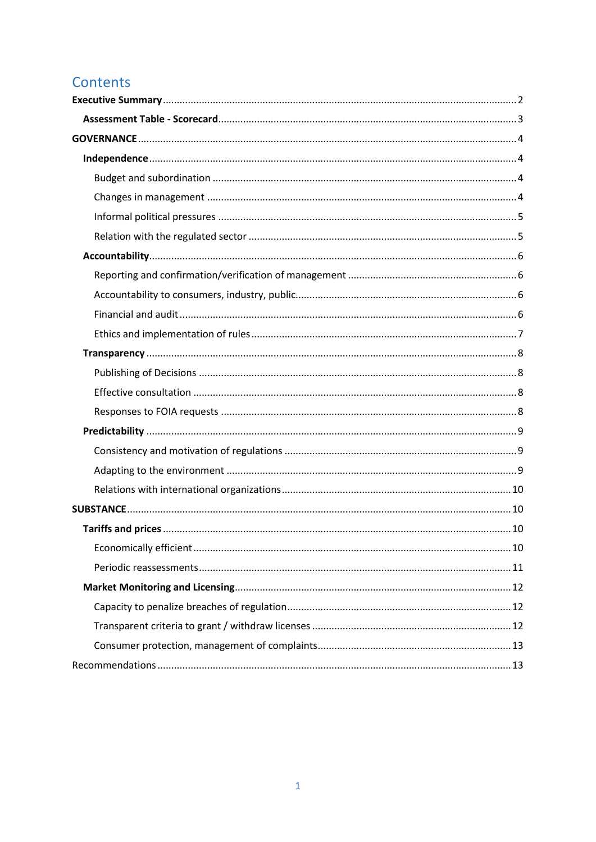# Contents

<span id="page-1-0"></span>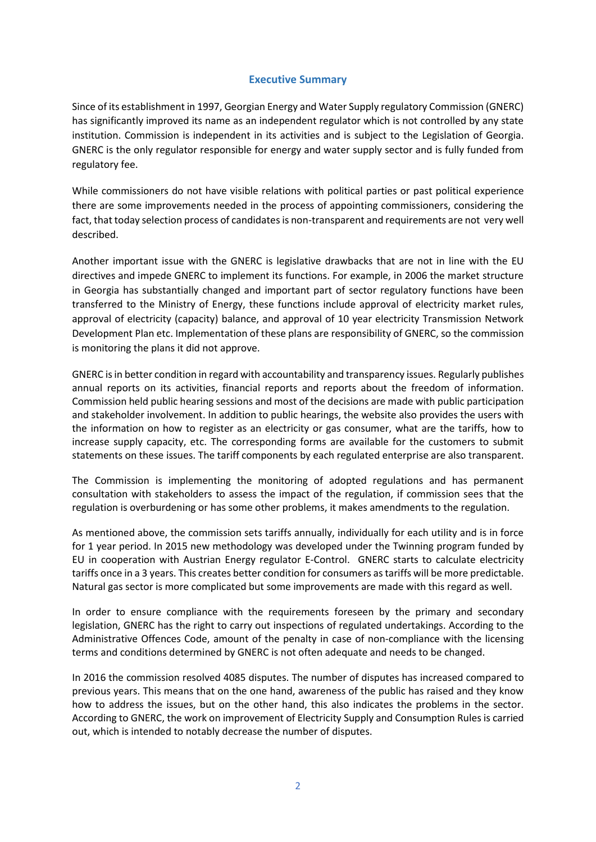# **Executive Summary**

Since of its establishment in 1997, Georgian Energy and Water Supply regulatory Commission (GNERC) has significantly improved its name as an independent regulator which is not controlled by any state institution. Commission is independent in its activities and is subject to the Legislation of Georgia. GNERC is the only regulator responsible for energy and water supply sector and is fully funded from regulatory fee.

While commissioners do not have visible relations with political parties or past political experience there are some improvements needed in the process of appointing commissioners, considering the fact, that today selection process of candidates is non-transparent and requirements are not very well described.

Another important issue with the GNERC is legislative drawbacks that are not in line with the EU directives and impede GNERC to implement its functions. For example, in 2006 the market structure in Georgia has substantially changed and important part of sector regulatory functions have been transferred to the Ministry of Energy, these functions include approval of electricity market rules, approval of electricity (capacity) balance, and approval of 10 year electricity Transmission Network Development Plan etc. Implementation of these plans are responsibility of GNERC, so the commission is monitoring the plans it did not approve.

GNERC is in better condition in regard with accountability and transparency issues. Regularly publishes annual reports on its activities, financial reports and reports about the freedom of information. Commission held public hearing sessions and most of the decisions are made with public participation and stakeholder involvement. In addition to public hearings, the website also provides the users with the information on how to register as an electricity or gas consumer, what are the tariffs, how to increase supply capacity, etc. The corresponding forms are available for the customers to submit statements on these issues. The tariff components by each regulated enterprise are also transparent.

The Commission is implementing the monitoring of adopted regulations and has permanent consultation with stakeholders to assess the impact of the regulation, if commission sees that the regulation is overburdening or has some other problems, it makes amendments to the regulation.

As mentioned above, the commission sets tariffs annually, individually for each utility and is in force for 1 year period. In 2015 new methodology was developed under the Twinning program funded by EU in cooperation with Austrian Energy regulator E-Control. GNERC starts to calculate electricity tariffs once in a 3 years. This creates better condition for consumers as tariffs will be more predictable. Natural gas sector is more complicated but some improvements are made with this regard as well.

In order to ensure compliance with the requirements foreseen by the primary and secondary legislation, GNERC has the right to carry out inspections of regulated undertakings. According to the Administrative Offences Code, amount of the penalty in case of non-compliance with the licensing terms and conditions determined by GNERC is not often adequate and needs to be changed.

In 2016 the commission resolved 4085 disputes. The number of disputes has increased compared to previous years. This means that on the one hand, awareness of the public has raised and they know how to address the issues, but on the other hand, this also indicates the problems in the sector. According to GNERC, the work on improvement of Electricity Supply and Consumption Rules is carried out, which is intended to notably decrease the number of disputes.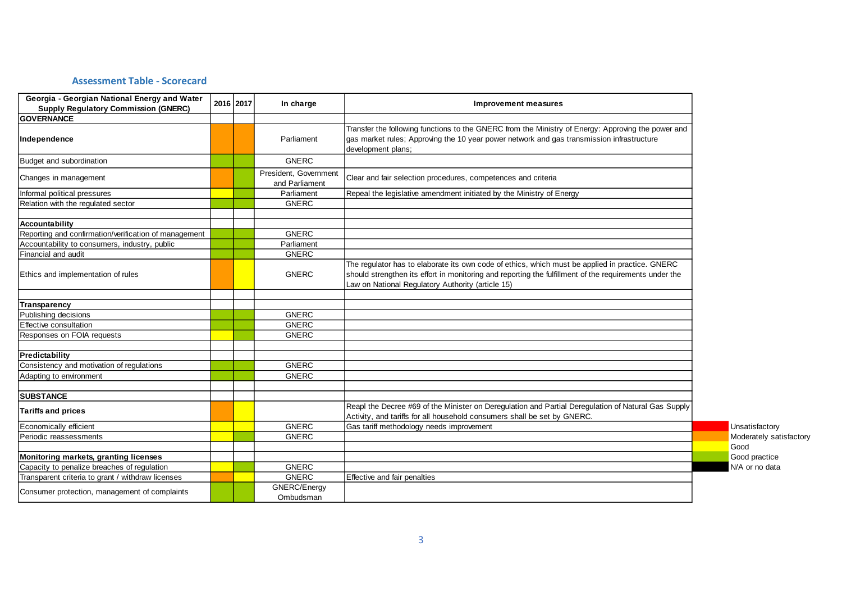# **Assessment Table - Scorecard**

<span id="page-3-0"></span>

| Georgia - Georgian National Energy and Water                     | 2016 2017 | In charge                               | <b>Improvement measures</b>                                                                                                                                                                                                                                    |                         |
|------------------------------------------------------------------|-----------|-----------------------------------------|----------------------------------------------------------------------------------------------------------------------------------------------------------------------------------------------------------------------------------------------------------------|-------------------------|
| <b>Supply Regulatory Commission (GNERC)</b><br><b>GOVERNANCE</b> |           |                                         |                                                                                                                                                                                                                                                                |                         |
| Independence                                                     |           | Parliament                              | Transfer the following functions to the GNERC from the Ministry of Energy: Approving the power and<br>gas market rules; Approving the 10 year power network and gas transmission infrastructure<br>development plans;                                          |                         |
| Budget and subordination                                         |           | <b>GNERC</b>                            |                                                                                                                                                                                                                                                                |                         |
| Changes in management                                            |           | President, Government<br>and Parliament | Clear and fair selection procedures, competences and criteria                                                                                                                                                                                                  |                         |
| Informal political pressures                                     |           | Parliament                              | Repeal the legislative amendment initiated by the Ministry of Energy                                                                                                                                                                                           |                         |
| Relation with the regulated sector                               |           | <b>GNERC</b>                            |                                                                                                                                                                                                                                                                |                         |
|                                                                  |           |                                         |                                                                                                                                                                                                                                                                |                         |
| Accountability                                                   |           |                                         |                                                                                                                                                                                                                                                                |                         |
| Reporting and confirmation/verification of management            |           | <b>GNERC</b>                            |                                                                                                                                                                                                                                                                |                         |
| Accountability to consumers, industry, public                    |           | Parliament                              |                                                                                                                                                                                                                                                                |                         |
| Financial and audit                                              |           | <b>GNERC</b>                            |                                                                                                                                                                                                                                                                |                         |
| Ethics and implementation of rules                               |           | <b>GNERC</b>                            | The regulator has to elaborate its own code of ethics, which must be applied in practice. GNERC<br>should strengthen its effort in monitoring and reporting the fulfillment of the requirements under the<br>Law on National Regulatory Authority (article 15) |                         |
| Transparency                                                     |           |                                         |                                                                                                                                                                                                                                                                |                         |
| Publishing decisions                                             |           | <b>GNERC</b>                            |                                                                                                                                                                                                                                                                |                         |
| Effective consultation                                           |           | <b>GNERC</b>                            |                                                                                                                                                                                                                                                                |                         |
| Responses on FOIA requests                                       |           | <b>GNERC</b>                            |                                                                                                                                                                                                                                                                |                         |
| Predictability                                                   |           |                                         |                                                                                                                                                                                                                                                                |                         |
| Consistency and motivation of regulations                        |           | <b>GNERC</b>                            |                                                                                                                                                                                                                                                                |                         |
| Adapting to environment                                          |           | <b>GNERC</b>                            |                                                                                                                                                                                                                                                                |                         |
| <b>SUBSTANCE</b>                                                 |           |                                         |                                                                                                                                                                                                                                                                |                         |
| <b>Tariffs and prices</b>                                        |           |                                         | Reapl the Decree #69 of the Minister on Deregulation and Partial Deregulation of Natural Gas Supply<br>Activity, and tariffs for all household consumers shall be set by GNERC.                                                                                |                         |
| Economically efficient                                           |           | <b>GNERC</b>                            | Gas tariff methodology needs improvement                                                                                                                                                                                                                       | Unsatisfactory          |
| Periodic reassessments                                           |           | <b>GNERC</b>                            |                                                                                                                                                                                                                                                                | Moderately satisfactory |
| Monitoring markets, granting licenses                            |           |                                         |                                                                                                                                                                                                                                                                | Good<br>Good practice   |
| Capacity to penalize breaches of regulation                      |           | <b>GNERC</b>                            |                                                                                                                                                                                                                                                                | N/A or no data          |
| Transparent criteria to grant / withdraw licenses                |           | <b>GNERC</b>                            | Effective and fair penalties                                                                                                                                                                                                                                   |                         |
| Consumer protection, management of complaints                    |           | GNERC/Energy<br>Ombudsman               |                                                                                                                                                                                                                                                                |                         |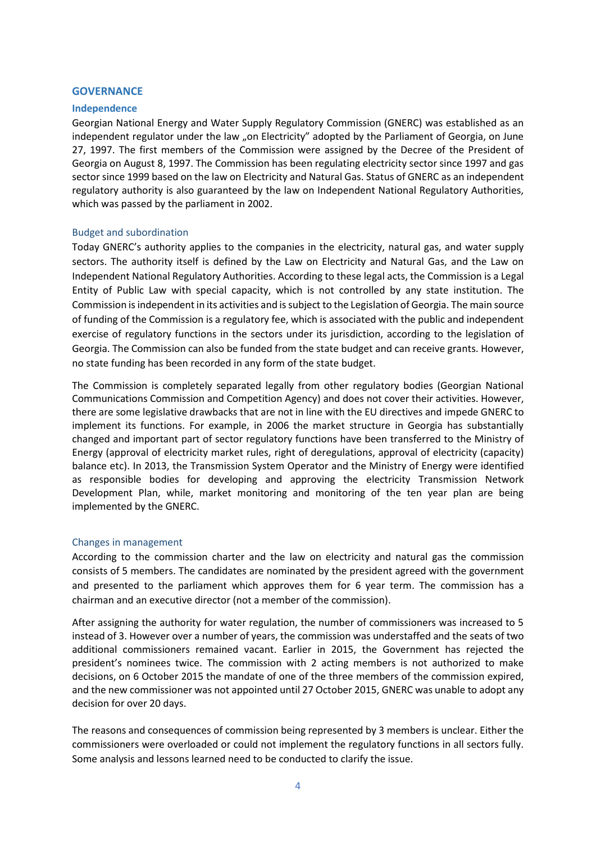#### <span id="page-4-0"></span>**GOVERNANCE**

#### <span id="page-4-1"></span>**Independence**

Georgian National Energy and Water Supply Regulatory Commission (GNERC) was established as an independent regulator under the law "on Electricity" adopted by the Parliament of Georgia, on June 27, 1997. The first members of the Commission were assigned by the Decree of the President of Georgia on August 8, 1997. The Commission has been regulating electricity sector since 1997 and gas sector since 1999 based on the law on Electricity and Natural Gas. Status of GNERC as an independent regulatory authority is also guaranteed by the law on Independent National Regulatory Authorities, which was passed by the parliament in 2002.

#### <span id="page-4-2"></span>Budget and subordination

Today GNERC's authority applies to the companies in the electricity, natural gas, and water supply sectors. The authority itself is defined by the Law on Electricity and Natural Gas, and the Law on Independent National Regulatory Authorities. According to these legal acts, the Commission is a Legal Entity of Public Law with special capacity, which is not controlled by any state institution. The Commission is independent in its activities and is subject to the Legislation of Georgia. The main source of funding of the Commission is a regulatory fee, which is associated with the public and independent exercise of regulatory functions in the sectors under its jurisdiction, according to the legislation of Georgia. The Commission can also be funded from the state budget and can receive grants. However, no state funding has been recorded in any form of the state budget.

The Commission is completely separated legally from other regulatory bodies (Georgian National Communications Commission and Competition Agency) and does not cover their activities. However, there are some legislative drawbacks that are not in line with the EU directives and impede GNERC to implement its functions. For example, in 2006 the market structure in Georgia has substantially changed and important part of sector regulatory functions have been transferred to the Ministry of Energy (approval of electricity market rules, right of deregulations, approval of electricity (capacity) balance etc). In 2013, the Transmission System Operator and the Ministry of Energy were identified as responsible bodies for developing and approving the electricity Transmission Network Development Plan, while, market monitoring and monitoring of the ten year plan are being implemented by the GNERC.

#### <span id="page-4-3"></span>Changes in management

According to the commission charter and the law on electricity and natural gas the commission consists of 5 members. The candidates are nominated by the president agreed with the government and presented to the parliament which approves them for 6 year term. The commission has a chairman and an executive director (not a member of the commission).

After assigning the authority for water regulation, the number of commissioners was increased to 5 instead of 3. However over a number of years, the commission was understaffed and the seats of two additional commissioners remained vacant. Earlier in 2015, the Government has rejected the president's nominees twice. The commission with 2 acting members is not authorized to make decisions, on 6 October 2015 the mandate of one of the three members of the commission expired, and the new commissioner was not appointed until 27 October 2015, GNERC was unable to adopt any decision for over 20 days.

The reasons and consequences of commission being represented by 3 members is unclear. Either the commissioners were overloaded or could not implement the regulatory functions in all sectors fully. Some analysis and lessons learned need to be conducted to clarify the issue.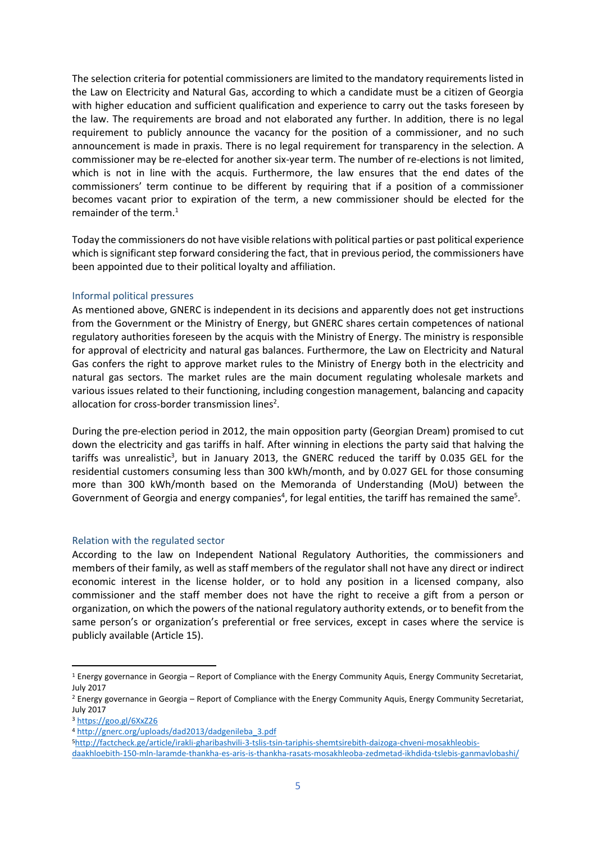The selection criteria for potential commissioners are limited to the mandatory requirements listed in the Law on Electricity and Natural Gas, according to which a candidate must be a citizen of Georgia with higher education and sufficient qualification and experience to carry out the tasks foreseen by the law. The requirements are broad and not elaborated any further. In addition, there is no legal requirement to publicly announce the vacancy for the position of a commissioner, and no such announcement is made in praxis. There is no legal requirement for transparency in the selection. A commissioner may be re-elected for another six-year term. The number of re-elections is not limited, which is not in line with the acquis. Furthermore, the law ensures that the end dates of the commissioners' term continue to be different by requiring that if a position of a commissioner becomes vacant prior to expiration of the term, a new commissioner should be elected for the remainder of the term.<sup>1</sup>

Today the commissioners do not have visible relations with political parties or past political experience which is significant step forward considering the fact, that in previous period, the commissioners have been appointed due to their political loyalty and affiliation.

# <span id="page-5-0"></span>Informal political pressures

As mentioned above, GNERC is independent in its decisions and apparently does not get instructions from the Government or the Ministry of Energy, but GNERC shares certain competences of national regulatory authorities foreseen by the acquis with the Ministry of Energy. The ministry is responsible for approval of electricity and natural gas balances. Furthermore, the Law on Electricity and Natural Gas confers the right to approve market rules to the Ministry of Energy both in the electricity and natural gas sectors. The market rules are the main document regulating wholesale markets and various issues related to their functioning, including congestion management, balancing and capacity allocation for cross-border transmission lines<sup>2</sup>.

During the pre-election period in 2012, the main opposition party (Georgian Dream) promised to cut down the electricity and gas tariffs in half. After winning in elections the party said that halving the tariffs was unrealistic<sup>3</sup>, but in January 2013, the GNERC reduced the tariff by 0.035 GEL for the residential customers consuming less than 300 kWh/month, and by 0.027 GEL for those consuming more than 300 kWh/month based on the Memoranda of Understanding (MoU) between the Government of Georgia and energy companies<sup>4</sup>, for legal entities, the tariff has remained the same<sup>5</sup>.

# <span id="page-5-1"></span>Relation with the regulated sector

According to the law on Independent National Regulatory Authorities, the commissioners and members of their family, as well as staff members of the regulator shall not have any direct or indirect economic interest in the license holder, or to hold any position in a licensed company, also commissioner and the staff member does not have the right to receive a gift from a person or organization, on which the powers of the national regulatory authority extends, or to benefit from the same person's or organization's preferential or free services, except in cases where the service is publicly available (Article 15).

<sup>1</sup> Energy governance in Georgia – Report of Compliance with the Energy Community Aquis, Energy Community Secretariat, July 2017

<sup>&</sup>lt;sup>2</sup> Energy governance in Georgia – Report of Compliance with the Energy Community Aquis, Energy Community Secretariat, July 2017

<sup>3</sup> <https://goo.gl/6XxZ26>

<sup>4</sup> [http://gnerc.org/uploads/dad2013/dadgenileba\\_3.pdf](http://gnerc.org/uploads/dad2013/dadgenileba_3.pdf)

<sup>5</sup>[http://factcheck.ge/article/irakli-gharibashvili-3-tslis-tsin-tariphis-shemtsirebith-daizoga-chveni-mosakhleobis-](http://factcheck.ge/article/irakli-gharibashvili-3-tslis-tsin-tariphis-shemtsirebith-daizoga-chveni-mosakhleobis-daakhloebith-150-mln-laramde-thankha-es-aris-is-thankha-rasats-mosakhleoba-zedmetad-ikhdida-tslebis-ganmavlobashi/)

[daakhloebith-150-mln-laramde-thankha-es-aris-is-thankha-rasats-mosakhleoba-zedmetad-ikhdida-tslebis-ganmavlobashi/](http://factcheck.ge/article/irakli-gharibashvili-3-tslis-tsin-tariphis-shemtsirebith-daizoga-chveni-mosakhleobis-daakhloebith-150-mln-laramde-thankha-es-aris-is-thankha-rasats-mosakhleoba-zedmetad-ikhdida-tslebis-ganmavlobashi/)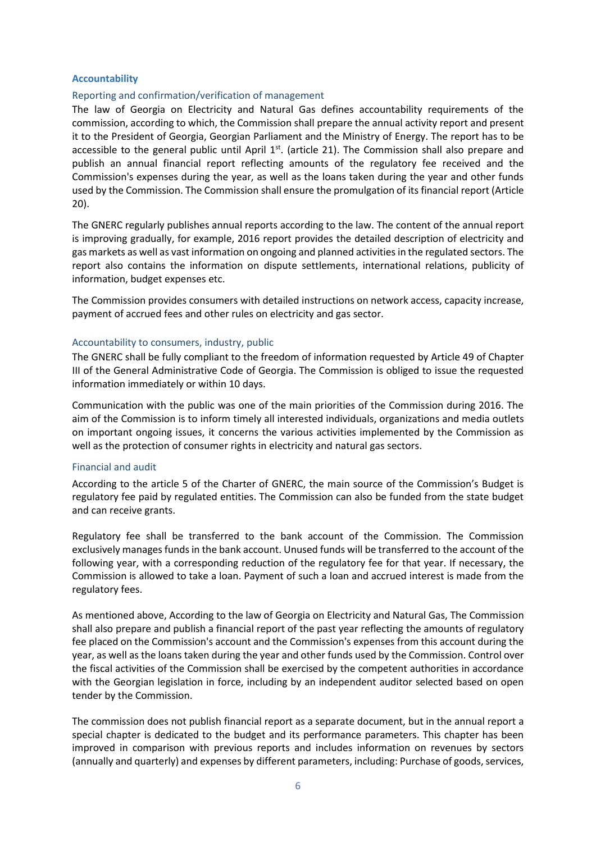#### <span id="page-6-0"></span>**Accountability**

#### <span id="page-6-1"></span>Reporting and confirmation/verification of management

The law of Georgia on Electricity and Natural Gas defines accountability requirements of the commission, according to which, the Commission shall prepare the annual activity report and present it to the President of Georgia, Georgian Parliament and the Ministry of Energy. The report has to be accessible to the general public until April  $1<sup>st</sup>$ . (article 21). The Commission shall also prepare and publish an annual financial report reflecting amounts of the regulatory fee received and the Commission's expenses during the year, as well as the loans taken during the year and other funds used by the Commission. The Commission shall ensure the promulgation of its financial report (Article 20).

The GNERC regularly publishes annual reports according to the law. The content of the annual report is improving gradually, for example, 2016 report provides the detailed description of electricity and gas markets as well as vast information on ongoing and planned activities in the regulated sectors. The report also contains the information on dispute settlements, international relations, publicity of information, budget expenses etc.

The Commission provides consumers with detailed instructions on network access, capacity increase, payment of accrued fees and other rules on electricity and gas sector.

#### <span id="page-6-2"></span>Accountability to consumers, industry, public

The GNERC shall be fully compliant to the freedom of information requested by Article 49 of Chapter III of the General Administrative Code of Georgia. The Commission is obliged to issue the requested information immediately or within 10 days.

Communication with the public was one of the main priorities of the Commission during 2016. The aim of the Commission is to inform timely all interested individuals, organizations and media outlets on important ongoing issues, it concerns the various activities implemented by the Commission as well as the protection of consumer rights in electricity and natural gas sectors.

#### <span id="page-6-3"></span>Financial and audit

According to the article 5 of the Charter of GNERC, the main source of the Commission's Budget is regulatory fee paid by regulated entities. The Commission can also be funded from the state budget and can receive grants.

Regulatory fee shall be transferred to the bank account of the Commission. The Commission exclusively manages funds in the bank account. Unused funds will be transferred to the account of the following year, with a corresponding reduction of the regulatory fee for that year. If necessary, the Commission is allowed to take a loan. Payment of such a loan and accrued interest is made from the regulatory fees.

As mentioned above, According to the law of Georgia on Electricity and Natural Gas, The Commission shall also prepare and publish a financial report of the past year reflecting the amounts of regulatory fee placed on the Commission's account and the Commission's expenses from this account during the year, as well as the loans taken during the year and other funds used by the Commission. Control over the fiscal activities of the Commission shall be exercised by the competent authorities in accordance with the Georgian legislation in force, including by an independent auditor selected based on open tender by the Commission.

The commission does not publish financial report as a separate document, but in the annual report a special chapter is dedicated to the budget and its performance parameters. This chapter has been improved in comparison with previous reports and includes information on revenues by sectors (annually and quarterly) and expenses by different parameters, including: Purchase of goods, services,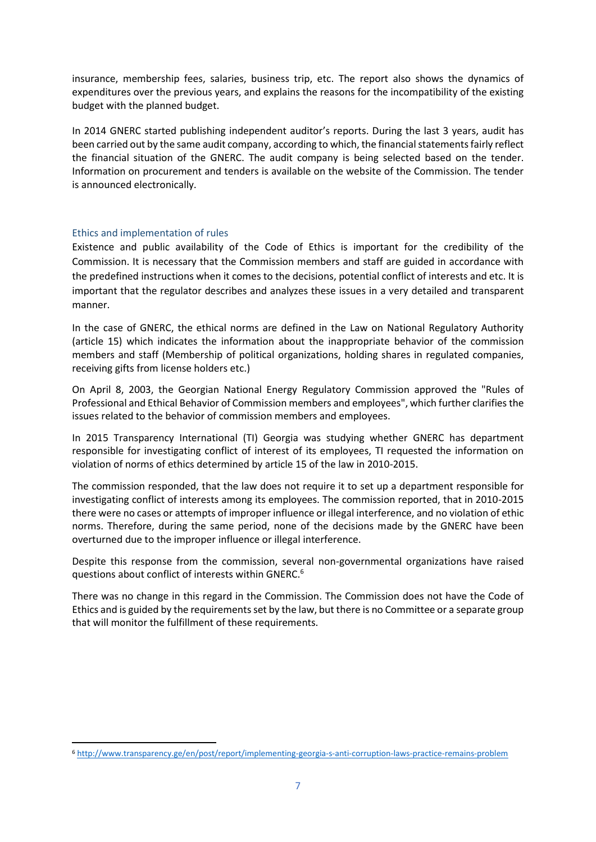insurance, membership fees, salaries, business trip, etc. The report also shows the dynamics of expenditures over the previous years, and explains the reasons for the incompatibility of the existing budget with the planned budget.

In 2014 GNERC started publishing independent auditor's reports. During the last 3 years, audit has been carried out by the same audit company, according to which, the financial statements fairly reflect the financial situation of the GNERC. The audit company is being selected based on the tender. Information on procurement and tenders is available on the website of the Commission. The tender is announced electronically.

# <span id="page-7-0"></span>Ethics and implementation of rules

**.** 

Existence and public availability of the Code of Ethics is important for the credibility of the Commission. It is necessary that the Commission members and staff are guided in accordance with the predefined instructions when it comes to the decisions, potential conflict of interests and etc. It is important that the regulator describes and analyzes these issues in a very detailed and transparent manner.

In the case of GNERC, the ethical norms are defined in the Law on National Regulatory Authority (article 15) which indicates the information about the inappropriate behavior of the commission members and staff (Membership of political organizations, holding shares in regulated companies, receiving gifts from license holders etc.)

On April 8, 2003, the Georgian National Energy Regulatory Commission approved the "Rules of Professional and Ethical Behavior of Commission members and employees", which further clarifies the issues related to the behavior of commission members and employees.

In 2015 Transparency International (TI) Georgia was studying whether GNERC has department responsible for investigating conflict of interest of its employees, TI requested the information on violation of norms of ethics determined by article 15 of the law in 2010-2015.

The commission responded, that the law does not require it to set up a department responsible for investigating conflict of interests among its employees. The commission reported, that in 2010-2015 there were no cases or attempts of improper influence or illegal interference, and no violation of ethic norms. Therefore, during the same period, none of the decisions made by the GNERC have been overturned due to the improper influence or illegal interference.

Despite this response from the commission, several non-governmental organizations have raised questions about conflict of interests within GNERC.<sup>6</sup>

There was no change in this regard in the Commission. The Commission does not have the Code of Ethics and is guided by the requirements set by the law, but there is no Committee or a separate group that will monitor the fulfillment of these requirements.

<sup>6</sup> <http://www.transparency.ge/en/post/report/implementing-georgia-s-anti-corruption-laws-practice-remains-problem>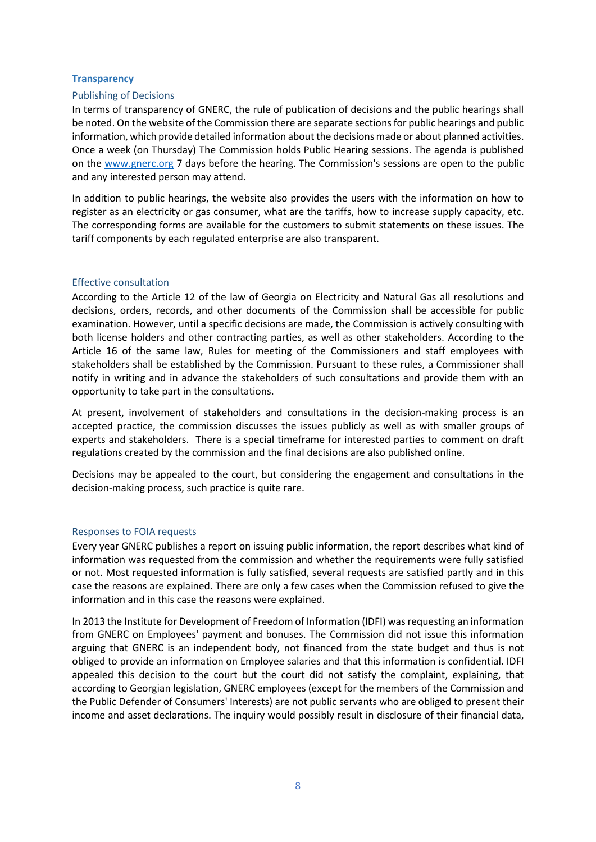#### <span id="page-8-0"></span>**Transparency**

#### <span id="page-8-1"></span>Publishing of Decisions

In terms of transparency of GNERC, the rule of publication of decisions and the public hearings shall be noted. On the website of the Commission there are separate sections for public hearings and public information, which provide detailed information about the decisions made or about planned activities. Once a week (on Thursday) The Commission holds Public Hearing sessions. The agenda is published on the [www.gnerc.org](http://www.gnerc.org/) 7 days before the hearing. The Commission's sessions are open to the public and any interested person may attend.

In addition to public hearings, the website also provides the users with the information on how to register as an electricity or gas consumer, what are the tariffs, how to increase supply capacity, etc. The corresponding forms are available for the customers to submit statements on these issues. The tariff components by each regulated enterprise are also transparent.

#### <span id="page-8-2"></span>Effective consultation

According to the Article 12 of the law of Georgia on Electricity and Natural Gas all resolutions and decisions, orders, records, and other documents of the Commission shall be accessible for public examination. However, until a specific decisions are made, the Commission is actively consulting with both license holders and other contracting parties, as well as other stakeholders. According to the Article 16 of the same law, Rules for meeting of the Commissioners and staff employees with stakeholders shall be established by the Commission. Pursuant to these rules, a Commissioner shall notify in writing and in advance the stakeholders of such consultations and provide them with an opportunity to take part in the consultations.

At present, involvement of stakeholders and consultations in the decision-making process is an accepted practice, the commission discusses the issues publicly as well as with smaller groups of experts and stakeholders. There is a special timeframe for interested parties to comment on draft regulations created by the commission and the final decisions are also published online.

Decisions may be appealed to the court, but considering the engagement and consultations in the decision-making process, such practice is quite rare.

#### <span id="page-8-3"></span>Responses to FOIA requests

Every year GNERC publishes a report on issuing public information, the report describes what kind of information was requested from the commission and whether the requirements were fully satisfied or not. Most requested information is fully satisfied, several requests are satisfied partly and in this case the reasons are explained. There are only a few cases when the Commission refused to give the information and in this case the reasons were explained.

In 2013 the Institute for Development of Freedom of Information (IDFI) was requesting an information from GNERC on Employees' payment and bonuses. The Commission did not issue this information arguing that GNERC is an independent body, not financed from the state budget and thus is not obliged to provide an information on Employee salaries and that this information is confidential. IDFI appealed this decision to the court but the court did not satisfy the complaint, explaining, that according to Georgian legislation, GNERC employees (except for the members of the Commission and the Public Defender of Consumers' Interests) are not public servants who are obliged to present their income and asset declarations. The inquiry would possibly result in disclosure of their financial data,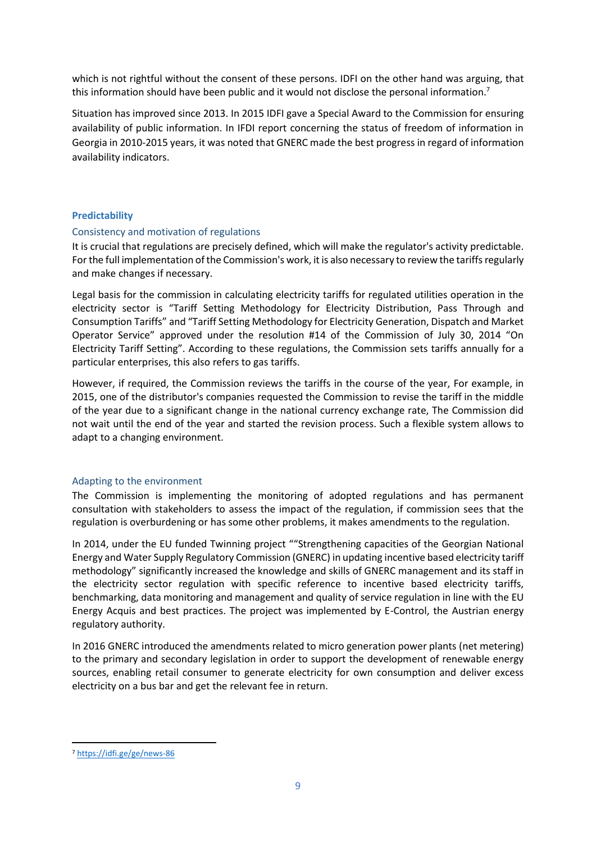which is not rightful without the consent of these persons. IDFI on the other hand was arguing, that this information should have been public and it would not disclose the personal information.<sup>7</sup>

Situation has improved since 2013. In 2015 IDFI gave a Special Award to the Commission for ensuring availability of public information. In IFDI report concerning the status of freedom of information in Georgia in 2010-2015 years, it was noted that GNERC made the best progress in regard of information availability indicators.

# <span id="page-9-0"></span>**Predictability**

# <span id="page-9-1"></span>Consistency and motivation of regulations

It is crucial that regulations are precisely defined, which will make the regulator's activity predictable. For the full implementation of the Commission's work, it is also necessary to review the tariffs regularly and make changes if necessary.

Legal basis for the commission in calculating electricity tariffs for regulated utilities operation in the electricity sector is "Tariff Setting Methodology for Electricity Distribution, Pass Through and Consumption Tariffs" and "Tariff Setting Methodology for Electricity Generation, Dispatch and Market Operator Service" approved under the resolution #14 of the Commission of July 30, 2014 "On Electricity Tariff Setting". According to these regulations, the Commission sets tariffs annually for a particular enterprises, this also refers to gas tariffs.

However, if required, the Commission reviews the tariffs in the course of the year, For example, in 2015, one of the distributor's companies requested the Commission to revise the tariff in the middle of the year due to a significant change in the national currency exchange rate, The Commission did not wait until the end of the year and started the revision process. Such a flexible system allows to adapt to a changing environment.

# <span id="page-9-2"></span>Adapting to the environment

The Commission is implementing the monitoring of adopted regulations and has permanent consultation with stakeholders to assess the impact of the regulation, if commission sees that the regulation is overburdening or has some other problems, it makes amendments to the regulation.

In 2014, under the EU funded Twinning project ""Strengthening capacities of the Georgian National Energy and Water Supply Regulatory Commission (GNERC) in updating incentive based electricity tariff methodology" significantly increased the knowledge and skills of GNERC management and its staff in the electricity sector regulation with specific reference to incentive based electricity tariffs, benchmarking, data monitoring and management and quality of service regulation in line with the EU Energy Acquis and best practices. The project was implemented by E-Control, the Austrian energy regulatory authority.

In 2016 GNERC introduced the amendments related to micro generation power plants (net metering) to the primary and secondary legislation in order to support the development of renewable energy sources, enabling retail consumer to generate electricity for own consumption and deliver excess electricity on a bus bar and get the relevant fee in return.

<sup>7</sup> <https://idfi.ge/ge/news-86>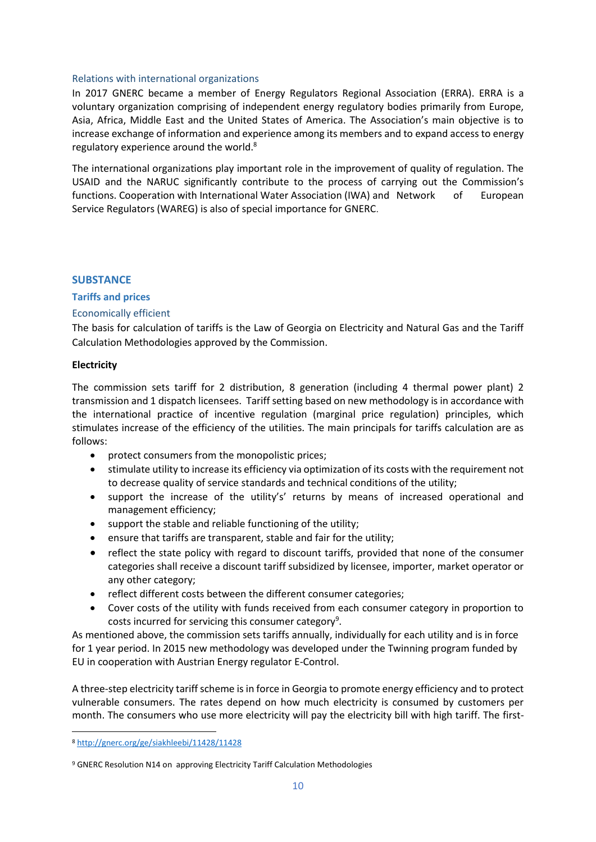#### <span id="page-10-0"></span>Relations with international organizations

In 2017 GNERC became a member of [Energy Regulators Regional Association](https://fr-fr.facebook.com/pages/Energy-Regulators-Regional-Association-ERRA/352797094737940?hc_location=timeline) (ERRA). ERRA is a voluntary organization comprising of independent energy regulatory bodies primarily from Europe, Asia, Africa, Middle East and the United States of America. The Association's main objective is to increase exchange of information and experience among its members and to expand access to energy regulatory experience around the world.<sup>8</sup>

The international organizations play important role in the improvement of quality of regulation. The USAID and the NARUC significantly contribute to the process of carrying out the Commission's functions. Cooperation with International Water Association (IWA) and Network of European Service Regulators (WAREG) is also of special importance for GNERC.

# <span id="page-10-1"></span>**SUBSTANCE**

# <span id="page-10-2"></span>**Tariffs and prices**

# <span id="page-10-3"></span>Economically efficient

The basis for calculation of tariffs is the Law of Georgia on Electricity and Natural Gas and the Tariff Calculation Methodologies approved by the Commission.

# **Electricity**

The commission sets tariff for 2 distribution, 8 generation (including 4 thermal power plant) 2 transmission and 1 dispatch licensees. Tariff setting based on new methodology is in accordance with the international practice of incentive regulation (marginal price regulation) principles, which stimulates increase of the efficiency of the utilities. The main principals for tariffs calculation are as follows:

- protect consumers from the monopolistic prices;
- stimulate utility to increase its efficiency via optimization of its costs with the requirement not to decrease quality of service standards and technical conditions of the utility;
- support the increase of the utility's' returns by means of increased operational and management efficiency;
- support the stable and reliable functioning of the utility;
- ensure that tariffs are transparent, stable and fair for the utility;
- reflect the state policy with regard to discount tariffs, provided that none of the consumer categories shall receive a discount tariff subsidized by licensee, importer, market operator or any other category;
- reflect different costs between the different consumer categories;
- Cover costs of the utility with funds received from each consumer category in proportion to costs incurred for servicing this consumer category<sup>9</sup>.

As mentioned above, the commission sets tariffs annually, individually for each utility and is in force for 1 year period. In 2015 new methodology was developed under the Twinning program funded by EU in cooperation with Austrian Energy regulator E-Control.

A three-step electricity tariff scheme is in force in Georgia to promote energy efficiency and to protect vulnerable consumers. The rates depend on how much electricity is consumed by customers per month. The consumers who use more electricity will pay the electricity bill with high tariff. The first-

<sup>8</sup> <http://gnerc.org/ge/siakhleebi/11428/11428>

<sup>&</sup>lt;sup>9</sup> GNERC Resolution N14 on approving Electricity Tariff Calculation Methodologies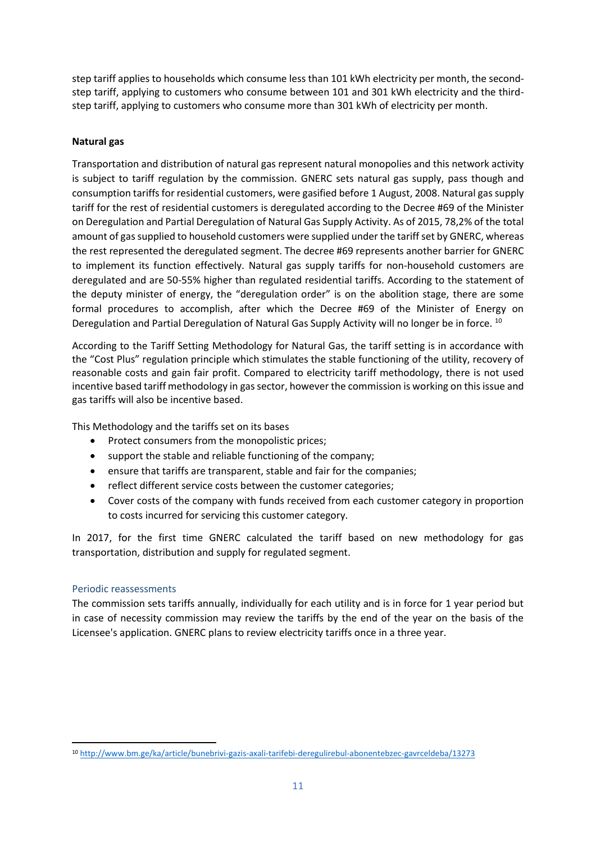step tariff applies to households which consume less than 101 kWh electricity per month, the secondstep tariff, applying to customers who consume between 101 and 301 kWh electricity and the thirdstep tariff, applying to customers who consume more than 301 kWh of electricity per month.

# **Natural gas**

Transportation and distribution of natural gas represent natural monopolies and this network activity is subject to tariff regulation by the commission. GNERC sets natural gas supply, pass though and consumption tariffs for residential customers, were gasified before 1 August, 2008. Natural gas supply tariff for the rest of residential customers is deregulated according to the Decree #69 of the Minister on Deregulation and Partial Deregulation of Natural Gas Supply Activity. As of 2015, 78,2% of the total amount of gas supplied to household customers were supplied under the tariff set by GNERC, whereas the rest represented the deregulated segment. The decree #69 represents another barrier for GNERC to implement its function effectively. Natural gas supply tariffs for non-household customers are deregulated and are 50-55% higher than regulated residential tariffs. According to the statement of the deputy minister of energy, the "deregulation order" is on the abolition stage, there are some formal procedures to accomplish, after which the Decree #69 of the Minister of Energy on Deregulation and Partial Deregulation of Natural Gas Supply Activity will no longer be in force. <sup>10</sup>

According to the Tariff Setting Methodology for Natural Gas, the tariff setting is in accordance with the "Cost Plus" regulation principle which stimulates the stable functioning of the utility, recovery of reasonable costs and gain fair profit. Compared to electricity tariff methodology, there is not used incentive based tariff methodology in gas sector, however the commission is working on this issue and gas tariffs will also be incentive based.

This Methodology and the tariffs set on its bases

- Protect consumers from the monopolistic prices;
- support the stable and reliable functioning of the company;
- ensure that tariffs are transparent, stable and fair for the companies;
- reflect different service costs between the customer categories;
- Cover costs of the company with funds received from each customer category in proportion to costs incurred for servicing this customer category.

In 2017, for the first time GNERC calculated the tariff based on new methodology for gas transportation, distribution and supply for regulated segment.

# <span id="page-11-0"></span>Periodic reassessments

**.** 

The commission sets tariffs annually, individually for each utility and is in force for 1 year period but in case of necessity commission may review the tariffs by the end of the year on the basis of the Licensee's application. GNERC plans to review electricity tariffs once in a three year.

<sup>10</sup> <http://www.bm.ge/ka/article/bunebrivi-gazis-axali-tarifebi-deregulirebul-abonentebzec-gavrceldeba/13273>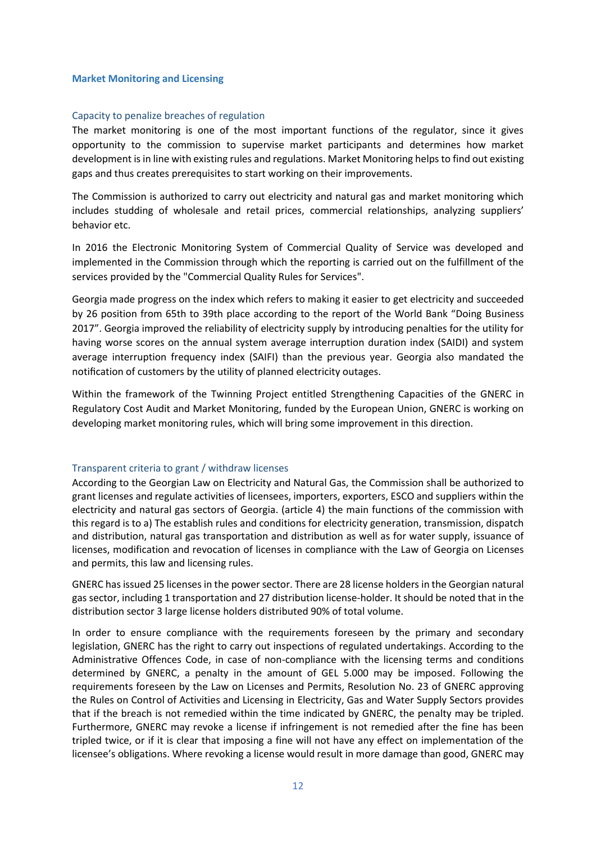#### <span id="page-12-0"></span>**Market Monitoring and Licensing**

#### <span id="page-12-1"></span>Capacity to penalize breaches of regulation

The market monitoring is one of the most important functions of the regulator, since it gives opportunity to the commission to supervise market participants and determines how market development is in line with existing rules and regulations. Market Monitoring helps to find out existing gaps and thus creates prerequisites to start working on their improvements.

The Commission is authorized to carry out electricity and natural gas and market monitoring which includes studding of wholesale and retail prices, commercial relationships, analyzing suppliers' behavior etc.

In 2016 the Electronic Monitoring System of Commercial Quality of Service was developed and implemented in the Commission through which the reporting is carried out on the fulfillment of the services provided by the "Commercial Quality Rules for Services".

Georgia made progress on the index which refers to making it easier to get electricity and succeeded by 26 position from 65th to 39th place according to the report of the World Bank "Doing Business 2017". Georgia improved the reliability of electricity supply by introducing penalties for the utility for having worse scores on the annual system average interruption duration index (SAIDI) and system average interruption frequency index (SAIFI) than the previous year. Georgia also mandated the notification of customers by the utility of planned electricity outages.

Within the framework of the Twinning Project entitled Strengthening Capacities of the GNERC in Regulatory Cost Audit and Market Monitoring, funded by the European Union, GNERC is working on developing market monitoring rules, which will bring some improvement in this direction.

# <span id="page-12-2"></span>Transparent criteria to grant / withdraw licenses

According to the Georgian Law on Electricity and Natural Gas, the Commission shall be authorized to grant licenses and regulate activities of licensees, importers, exporters, ESCO and suppliers within the electricity and natural gas sectors of Georgia. (article 4) the main functions of the commission with this regard is to a) The establish rules and conditions for electricity generation, transmission, dispatch and distribution, natural gas transportation and distribution as well as for water supply, issuance of licenses, modification and revocation of licenses in compliance with the Law of Georgia on Licenses and permits, this law and licensing rules.

GNERC has issued 25 licenses in the power sector. There are 28 license holders in the Georgian natural gas sector, including 1 transportation and 27 distribution license-holder. It should be noted that in the distribution sector 3 large license holders distributed 90% of total volume.

In order to ensure compliance with the requirements foreseen by the primary and secondary legislation, GNERC has the right to carry out inspections of regulated undertakings. According to the Administrative Offences Code, in case of non-compliance with the licensing terms and conditions determined by GNERC, a penalty in the amount of GEL 5.000 may be imposed. Following the requirements foreseen by the Law on Licenses and Permits, Resolution No. 23 of GNERC approving the Rules on Control of Activities and Licensing in Electricity, Gas and Water Supply Sectors provides that if the breach is not remedied within the time indicated by GNERC, the penalty may be tripled. Furthermore, GNERC may revoke a license if infringement is not remedied after the fine has been tripled twice, or if it is clear that imposing a fine will not have any effect on implementation of the licensee's obligations. Where revoking a license would result in more damage than good, GNERC may